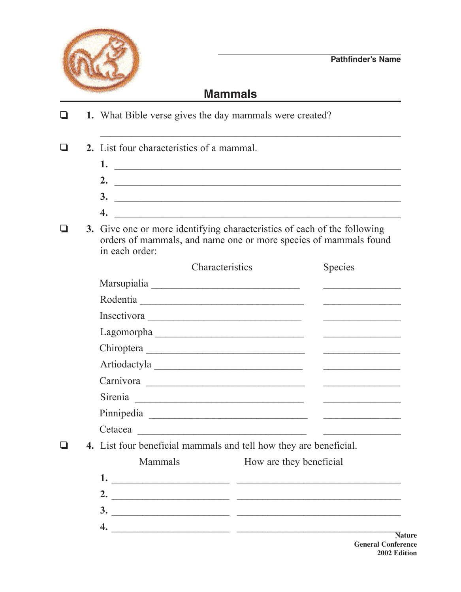

\_\_\_\_\_\_\_\_\_\_\_\_\_\_\_\_\_\_\_\_\_\_\_\_\_\_\_\_\_\_\_\_\_\_\_\_\_\_\_\_\_\_\_\_\_\_\_\_\_\_\_\_\_\_\_\_\_\_

## **Mammals**

**1.** What Bible verse gives the day mammals were created?

**2.** List four characteristics of a mammal.

- **1.** \_\_\_\_\_\_\_\_\_\_\_\_\_\_\_\_\_\_\_\_\_\_\_\_\_\_\_\_\_\_\_\_\_\_\_\_\_\_\_\_\_\_\_\_\_\_\_\_\_\_\_\_\_\_\_ **2.** \_\_\_\_\_\_\_\_\_\_\_\_\_\_\_\_\_\_\_\_\_\_\_\_\_\_\_\_\_\_\_\_\_\_\_\_\_\_\_\_\_\_\_\_\_\_\_\_\_\_\_\_\_\_\_ **3.** \_\_\_\_\_\_\_\_\_\_\_\_\_\_\_\_\_\_\_\_\_\_\_\_\_\_\_\_\_\_\_\_\_\_\_\_\_\_\_\_\_\_\_\_\_\_\_\_\_\_\_\_\_\_\_
- **4.** \_\_\_\_\_\_\_\_\_\_\_\_\_\_\_\_\_\_\_\_\_\_\_\_\_\_\_\_\_\_\_\_\_\_\_\_\_\_\_\_\_\_\_\_\_\_\_\_\_\_\_\_\_\_\_
- $\Box$  **3.** Give one or more identifying characteristics of each of the following orders of mammals, and name one or more species of mammals found in each order:

|                                                                   | Characteristics          |                         | <b>Species</b>                                                                                                                                                                                                                       |
|-------------------------------------------------------------------|--------------------------|-------------------------|--------------------------------------------------------------------------------------------------------------------------------------------------------------------------------------------------------------------------------------|
|                                                                   |                          |                         |                                                                                                                                                                                                                                      |
|                                                                   | Rodentia                 |                         |                                                                                                                                                                                                                                      |
|                                                                   |                          |                         | <u> 1990 - John Harry Harry Harry Harry Harry Harry Harry Harry Harry Harry Harry Harry Harry Harry Harry Harry H</u>                                                                                                                |
|                                                                   | Lagomorpha               |                         |                                                                                                                                                                                                                                      |
|                                                                   |                          |                         |                                                                                                                                                                                                                                      |
|                                                                   |                          |                         | <u> 1990 - John Harry Harry Harry Harry Harry Harry Harry Harry Harry Harry Harry Harry Harry Harry Harry Harry Harry Harry Harry Harry Harry Harry Harry Harry Harry Harry Harry Harry Harry Harry Harry Harry Harry Harry Harr</u> |
|                                                                   |                          |                         |                                                                                                                                                                                                                                      |
|                                                                   |                          |                         |                                                                                                                                                                                                                                      |
|                                                                   |                          |                         |                                                                                                                                                                                                                                      |
|                                                                   |                          |                         | Cetacea La Constantino de la constitución de la constantino de la constantino de la constantino de la constantino de la constantino de la constantino de la constantino de la constantino de la constantino de la constantino        |
| 4. List four beneficial mammals and tell how they are beneficial. |                          |                         |                                                                                                                                                                                                                                      |
| <b>Mammals</b>                                                    |                          | How are they beneficial |                                                                                                                                                                                                                                      |
|                                                                   |                          |                         | $1.$ $\overline{\phantom{a}}$                                                                                                                                                                                                        |
|                                                                   |                          |                         | 2. $\qquad \qquad$                                                                                                                                                                                                                   |
|                                                                   | $\overline{\mathbf{3.}}$ |                         |                                                                                                                                                                                                                                      |

**4.** \_\_\_\_\_\_\_\_\_\_\_\_\_\_\_\_\_\_\_\_\_\_\_ \_\_\_\_\_\_\_\_\_\_\_\_\_\_\_\_\_\_\_\_\_\_\_\_\_\_\_\_\_\_\_\_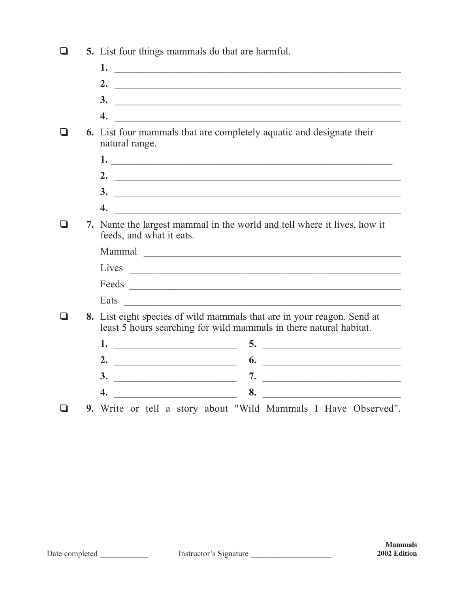| $\Box$<br>5. List four things mammals do that are harmful. |  |
|------------------------------------------------------------|--|
|------------------------------------------------------------|--|

- **1.** \_\_\_\_\_\_\_\_\_\_\_\_\_\_\_\_\_\_\_\_\_\_\_\_\_\_\_\_\_\_\_\_\_\_\_\_\_\_\_\_\_\_\_\_\_\_\_\_\_\_\_\_\_\_\_
- **2.** \_\_\_\_\_\_\_\_\_\_\_\_\_\_\_\_\_\_\_\_\_\_\_\_\_\_\_\_\_\_\_\_\_\_\_\_\_\_\_\_\_\_\_\_\_\_\_\_\_\_\_\_\_\_\_ **3.** \_\_\_\_\_\_\_\_\_\_\_\_\_\_\_\_\_\_\_\_\_\_\_\_\_\_\_\_\_\_\_\_\_\_\_\_\_\_\_\_\_\_\_\_\_\_\_\_\_\_\_\_\_\_\_
- **4.** \_\_\_\_\_\_\_\_\_\_\_\_\_\_\_\_\_\_\_\_\_\_\_\_\_\_\_\_\_\_\_\_\_\_\_\_\_\_\_\_\_\_\_\_\_\_\_\_\_\_\_\_\_\_\_
- $\Box$  6. List four mammals that are completely aquatic and designate their natural range.
	- **1.** \_\_\_\_\_\_\_\_\_\_\_\_\_\_\_\_\_\_\_\_\_\_\_\_\_\_\_\_\_\_\_\_\_\_\_\_\_\_\_\_\_\_\_\_\_\_\_\_\_\_\_\_\_\_\_ **2.** \_\_\_\_\_\_\_\_\_\_\_\_\_\_\_\_\_\_\_\_\_\_\_\_\_\_\_\_\_\_\_\_\_\_\_\_\_\_\_\_\_\_\_\_\_\_\_\_\_\_\_\_\_\_\_ **3.** \_\_\_\_\_\_\_\_\_\_\_\_\_\_\_\_\_\_\_\_\_\_\_\_\_\_\_\_\_\_\_\_\_\_\_\_\_\_\_\_\_\_\_\_\_\_\_\_\_\_\_\_\_\_\_
- **4.** \_\_\_\_\_\_\_\_\_\_\_\_\_\_\_\_\_\_\_\_\_\_\_\_\_\_\_\_\_\_\_\_\_\_\_\_\_\_\_\_\_\_\_\_\_\_\_\_\_\_\_\_\_\_\_  $\Box$  **7.** Name the largest mammal in the world and tell where it lives, how it feeds, and what it eats.

|  | Mammal                                                                                                                                       |
|--|----------------------------------------------------------------------------------------------------------------------------------------------|
|  | Lives                                                                                                                                        |
|  | Feeds                                                                                                                                        |
|  | Eats                                                                                                                                         |
|  | 8. List eight species of wild mammals that are in your reagon. Send at<br>least 5 hours searching for wild mammals in there natural habitat. |

|   | $\mathbf{J}$ . |
|---|----------------|
|   |                |
| ◡ |                |
|   |                |

o **9.** Write or tell a story about "Wild Mammals I Have Observed".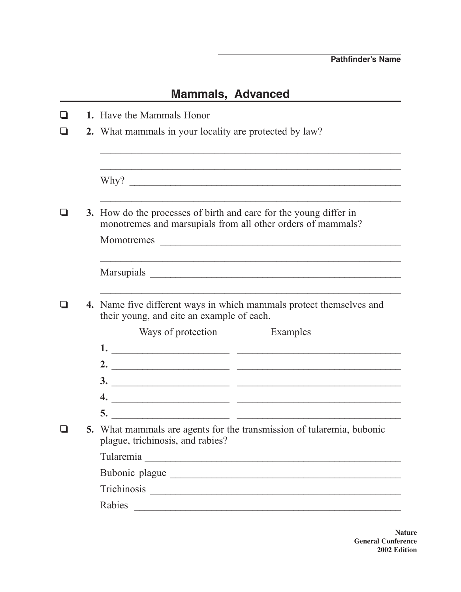## **Mammals, Advanced**

|  | 1. Have the Mammals Honor                                                                                                        |  |  |  |  |  |
|--|----------------------------------------------------------------------------------------------------------------------------------|--|--|--|--|--|
|  | 2. What mammals in your locality are protected by law?                                                                           |  |  |  |  |  |
|  | Why?                                                                                                                             |  |  |  |  |  |
|  | 3. How do the processes of birth and care for the young differ in<br>monotremes and marsupials from all other orders of mammals? |  |  |  |  |  |
|  | Momotremes                                                                                                                       |  |  |  |  |  |
|  |                                                                                                                                  |  |  |  |  |  |
|  | 4. Name five different ways in which mammals protect themselves and<br>their young, and cite an example of each.                 |  |  |  |  |  |
|  | Ways of protection<br>Examples                                                                                                   |  |  |  |  |  |
|  | $\frac{1}{2}$                                                                                                                    |  |  |  |  |  |
|  | 2. $\qquad \qquad$                                                                                                               |  |  |  |  |  |
|  |                                                                                                                                  |  |  |  |  |  |
|  | 4. $\overline{\phantom{a}}$                                                                                                      |  |  |  |  |  |
|  | 5.                                                                                                                               |  |  |  |  |  |
|  | 5. What mammals are agents for the transmission of tularemia, bubonic<br>plague, trichinosis, and rabies?                        |  |  |  |  |  |
|  |                                                                                                                                  |  |  |  |  |  |
|  | Bubonic plague                                                                                                                   |  |  |  |  |  |
|  |                                                                                                                                  |  |  |  |  |  |
|  | Rabies                                                                                                                           |  |  |  |  |  |

**Nature General Conference 2002 Edition**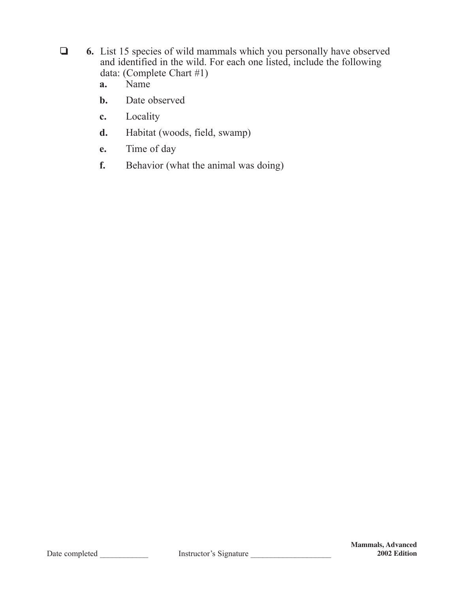- **6.** List 15 species of wild mammals which you personally have observed and identified in the wild. For each one listed, include the following data: (Complete Chart #1)
	- **a.** Name
	- **b.** Date observed
	- **c.** Locality
	- **d.** Habitat (woods, field, swamp)
	- **e.** Time of day
	- **f.** Behavior (what the animal was doing)